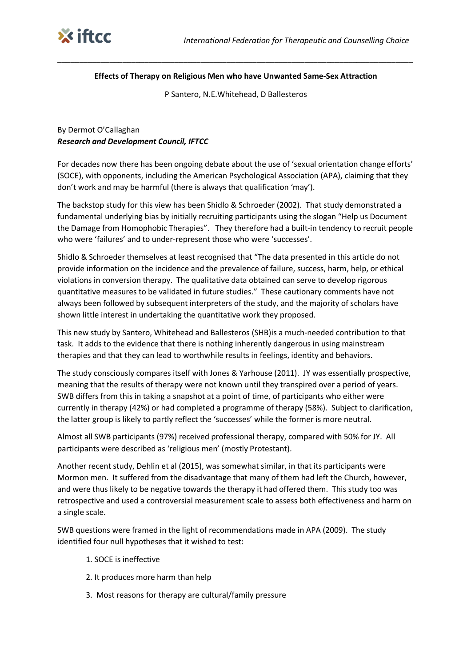

## **Effects of Therapy on Religious Men who have Unwanted Same-Sex Attraction**

\_\_\_\_\_\_\_\_\_\_\_\_\_\_\_\_\_\_\_\_\_\_\_\_\_\_\_\_\_\_\_\_\_\_\_\_\_\_\_\_\_\_\_\_\_\_\_\_\_\_\_\_\_\_\_\_\_\_\_\_\_\_\_\_\_\_\_\_\_\_\_\_\_\_\_\_\_\_\_\_\_\_

P Santero, N.E.Whitehead, D Ballesteros

## By Dermot O'Callaghan *Research and Development Council, IFTCC*

For decades now there has been ongoing debate about the use of 'sexual orientation change efforts' (SOCE), with opponents, including the American Psychological Association (APA), claiming that they don't work and may be harmful (there is always that qualification 'may').

The backstop study for this view has been Shidlo & Schroeder (2002). That study demonstrated a fundamental underlying bias by initially recruiting participants using the slogan "Help us Document the Damage from Homophobic Therapies". They therefore had a built-in tendency to recruit people who were 'failures' and to under-represent those who were 'successes'.

Shidlo & Schroeder themselves at least recognised that "The data presented in this article do not provide information on the incidence and the prevalence of failure, success, harm, help, or ethical violations in conversion therapy. The qualitative data obtained can serve to develop rigorous quantitative measures to be validated in future studies." These cautionary comments have not always been followed by subsequent interpreters of the study, and the majority of scholars have shown little interest in undertaking the quantitative work they proposed.

This new study by Santero, Whitehead and Ballesteros (SHB)is a much-needed contribution to that task. It adds to the evidence that there is nothing inherently dangerous in using mainstream therapies and that they can lead to worthwhile results in feelings, identity and behaviors.

The study consciously compares itself with Jones & Yarhouse (2011). JY was essentially prospective, meaning that the results of therapy were not known until they transpired over a period of years. SWB differs from this in taking a snapshot at a point of time, of participants who either were currently in therapy (42%) or had completed a programme of therapy (58%). Subject to clarification, the latter group is likely to partly reflect the 'successes' while the former is more neutral.

Almost all SWB participants (97%) received professional therapy, compared with 50% for JY. All participants were described as 'religious men' (mostly Protestant).

Another recent study, Dehlin et al (2015), was somewhat similar, in that its participants were Mormon men. It suffered from the disadvantage that many of them had left the Church, however, and were thus likely to be negative towards the therapy it had offered them. This study too was retrospective and used a controversial measurement scale to assess both effectiveness and harm on a single scale.

SWB questions were framed in the light of recommendations made in APA (2009). The study identified four null hypotheses that it wished to test:

- 1. SOCE is ineffective
- 2. It produces more harm than help
- 3. Most reasons for therapy are cultural/family pressure